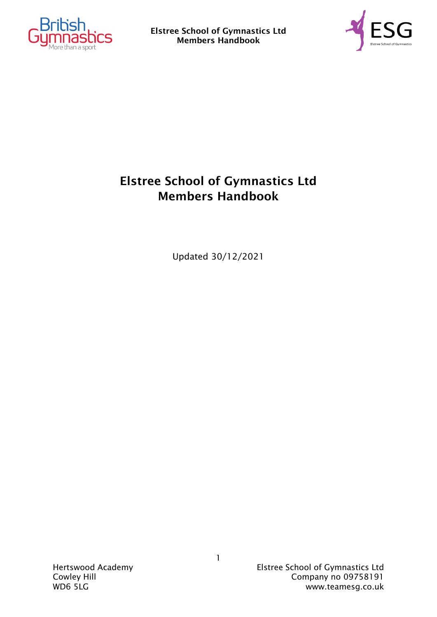



### Elstree School of Gymnastics Ltd Members Handbook

Updated 30/12/2021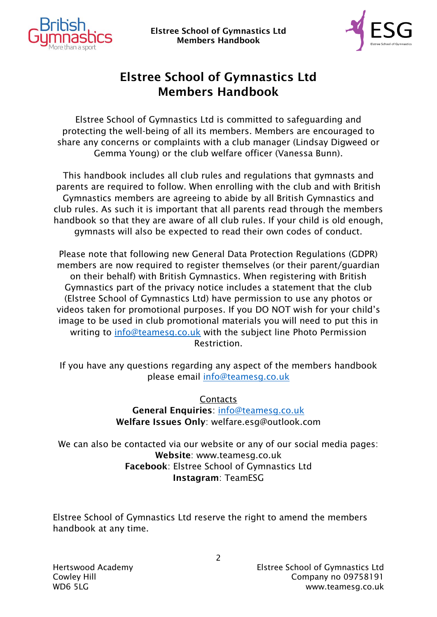



### Elstree School of Gymnastics Ltd Members Handbook

Elstree School of Gymnastics Ltd is committed to safeguarding and protecting the well-being of all its members. Members are encouraged to share any concerns or complaints with a club manager (Lindsay Digweed or Gemma Young) or the club welfare officer (Vanessa Bunn).

This handbook includes all club rules and regulations that gymnasts and parents are required to follow. When enrolling with the club and with British Gymnastics members are agreeing to abide by all British Gymnastics and club rules. As such it is important that all parents read through the members handbook so that they are aware of all club rules. If your child is old enough, gymnasts will also be expected to read their own codes of conduct.

Please note that following new General Data Protection Regulations (GDPR) members are now required to register themselves (or their parent/guardian on their behalf) with British Gymnastics. When registering with British Gymnastics part of the privacy notice includes a statement that the club (Elstree School of Gymnastics Ltd) have permission to use any photos or videos taken for promotional purposes. If you DO NOT wish for your child's image to be used in club promotional materials you will need to put this in writing to [info@teamesg.co.uk](mailto:info@teamesg.co.uk) with the subject line Photo Permission Restriction.

If you have any questions regarding any aspect of the members handbook please email [info@teamesg.co.uk](mailto:info@teamesg.co.uk)

> **Contacts** General Enquiries: [info@teamesg.co.uk](mailto:info@teamesg.co.uk) Welfare Issues Only: [welfare.esg@outlook.com](mailto:welfare.esg@outlook.com)

We can also be contacted via our website or any of our social media pages: Website: [www.teamesg.co.uk](http://www.teamesg.co.uk/) Facebook: Elstree School of Gymnastics Ltd Instagram: TeamESG

Elstree School of Gymnastics Ltd reserve the right to amend the members handbook at any time.

 $\mathcal{P}$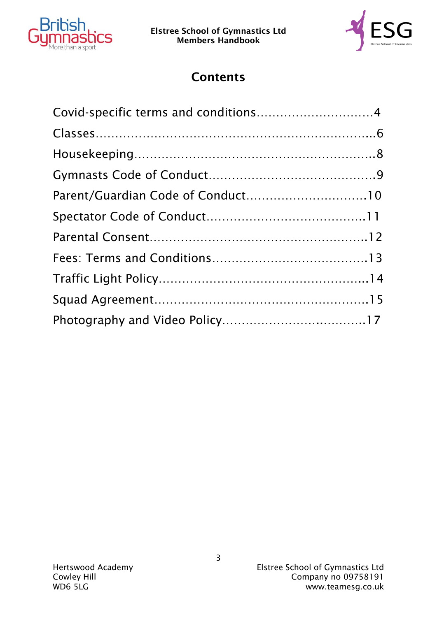



## **Contents**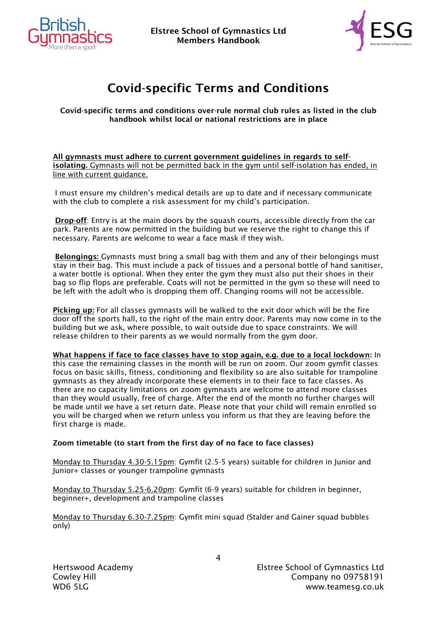



# Covid-specific Terms and Conditions

Covid-specific terms and conditions over-rule normal club rules as listed in the club handbook whilst local or national restrictions are in place

All gymnasts must adhere to current government guidelines in regards to selfisolating. Gymnasts will not be permitted back in the gym until self-isolation has ended, in line with current guidance.

I must ensure my children's medical details are up to date and if necessary communicate with the club to complete a risk assessment for my child's participation.

Drop-off: Entry is at the main doors by the squash courts, accessible directly from the car park. Parents are now permitted in the building but we reserve the right to change this if necessary. Parents are welcome to wear a face mask if they wish.

Belongings: Gymnasts must bring a small bag with them and any of their belongings must stay in their bag. This must include a pack of tissues and a personal bottle of hand sanitiser, a water bottle is optional. When they enter the gym they must also put their shoes in their bag so flip flops are preferable. Coats will not be permitted in the gym so these will need to be left with the adult who is dropping them off. Changing rooms will not be accessible.

Picking up: For all classes gymnasts will be walked to the exit door which will be the fire door off the sports hall, to the right of the main entry door. Parents may now come in to the building but we ask, where possible, to wait outside due to space constraints. We will release children to their parents as we would normally from the gym door.

What happens if face to face classes have to stop again, e.g. due to a local lockdown: In this case the remaining classes in the month will be run on zoom. Our zoom gymfit classes focus on basic skills, fitness, conditioning and flexibility so are also suitable for trampoline gymnasts as they already incorporate these elements in to their face to face classes. As there are no capacity limitations on zoom gymnasts are welcome to attend more classes than they would usually, free of charge. After the end of the month no further charges will be made until we have a set return date. Please note that your child will remain enrolled so you will be charged when we return unless you inform us that they are leaving before the first charge is made.

#### Zoom timetable (to start from the first day of no face to face classes)

Monday to Thursday 4.30-5.15pm: Gymfit (2.5-5 years) suitable for children in Junior and Junior+ classes or younger trampoline gymnasts

Monday to Thursday 5.25-6.20pm: Gymfit (6-9 years) suitable for children in beginner, beginner+, development and trampoline classes

Monday to Thursday 6.30-7.25pm: Gymfit mini squad (Stalder and Gainer squad bubbles only)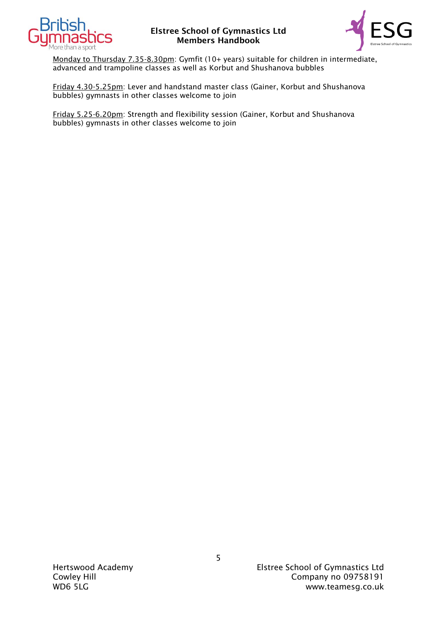



Monday to Thursday 7.35-8.30pm: Gymfit (10+ years) suitable for children in intermediate, advanced and trampoline classes as well as Korbut and Shushanova bubbles

Friday 4.30-5.25pm: Lever and handstand master class (Gainer, Korbut and Shushanova bubbles) gymnasts in other classes welcome to join

Friday 5.25-6.20pm: Strength and flexibility session (Gainer, Korbut and Shushanova bubbles) gymnasts in other classes welcome to join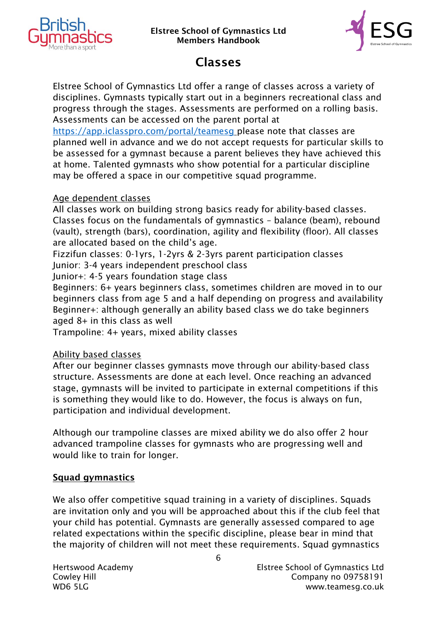



### Classes

Elstree School of Gymnastics Ltd offer a range of classes across a variety of disciplines. Gymnasts typically start out in a beginners recreational class and progress through the stages. Assessments are performed on a rolling basis. Assessments can be accessed on the parent portal at

<https://app.iclasspro.com/portal/teamesg> please note that classes are planned well in advance and we do not accept requests for particular skills to be assessed for a gymnast because a parent believes they have achieved this at home. Talented gymnasts who show potential for a particular discipline may be offered a space in our competitive squad programme.

#### Age dependent classes

All classes work on building strong basics ready for ability-based classes. Classes focus on the fundamentals of gymnastics – balance (beam), rebound (vault), strength (bars), coordination, agility and flexibility (floor). All classes are allocated based on the child's age.

Fizzifun classes: 0-1yrs, 1-2yrs & 2-3yrs parent participation classes Junior: 3-4 years independent preschool class

Junior+: 4-5 years foundation stage class

Beginners: 6+ years beginners class, sometimes children are moved in to our beginners class from age 5 and a half depending on progress and availability Beginner+: although generally an ability based class we do take beginners aged 8+ in this class as well

Trampoline: 4+ years, mixed ability classes

### Ability based classes

After our beginner classes gymnasts move through our ability-based class structure. Assessments are done at each level. Once reaching an advanced stage, gymnasts will be invited to participate in external competitions if this is something they would like to do. However, the focus is always on fun, participation and individual development.

Although our trampoline classes are mixed ability we do also offer 2 hour advanced trampoline classes for gymnasts who are progressing well and would like to train for longer.

#### Squad gymnastics

We also offer competitive squad training in a variety of disciplines. Squads are invitation only and you will be approached about this if the club feel that your child has potential. Gymnasts are generally assessed compared to age related expectations within the specific discipline, please bear in mind that the majority of children will not meet these requirements. Squad gymnastics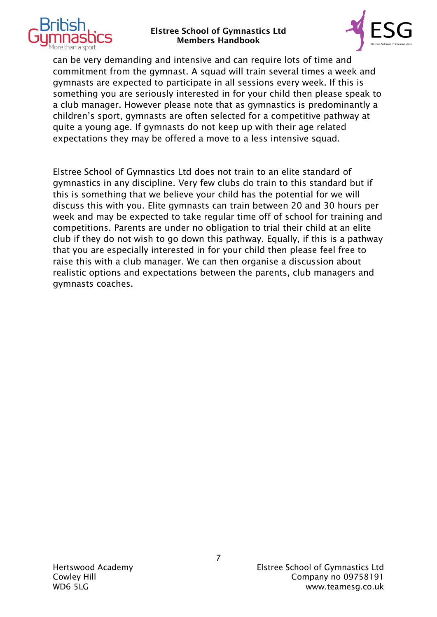



can be very demanding and intensive and can require lots of time and commitment from the gymnast. A squad will train several times a week and gymnasts are expected to participate in all sessions every week. If this is something you are seriously interested in for your child then please speak to a club manager. However please note that as gymnastics is predominantly a children's sport, gymnasts are often selected for a competitive pathway at quite a young age. If gymnasts do not keep up with their age related expectations they may be offered a move to a less intensive squad.

Elstree School of Gymnastics Ltd does not train to an elite standard of gymnastics in any discipline. Very few clubs do train to this standard but if this is something that we believe your child has the potential for we will discuss this with you. Elite gymnasts can train between 20 and 30 hours per week and may be expected to take regular time off of school for training and competitions. Parents are under no obligation to trial their child at an elite club if they do not wish to go down this pathway. Equally, if this is a pathway that you are especially interested in for your child then please feel free to raise this with a club manager. We can then organise a discussion about realistic options and expectations between the parents, club managers and gymnasts coaches.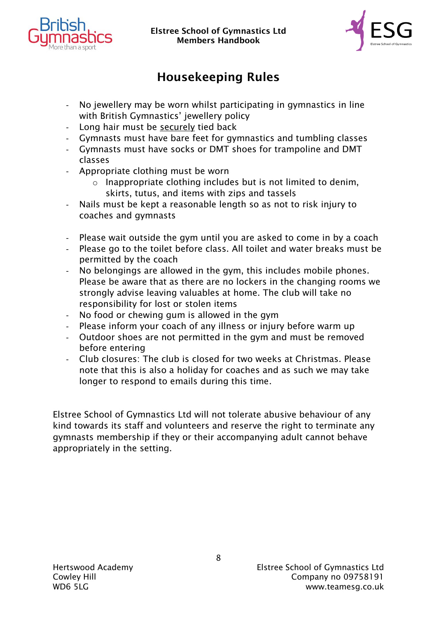



# Housekeeping Rules

- No jewellery may be worn whilst participating in gymnastics in line with British Gymnastics' jewellery policy
- Long hair must be securely tied back
- Gymnasts must have bare feet for gymnastics and tumbling classes
- Gymnasts must have socks or DMT shoes for trampoline and DMT classes
- Appropriate clothing must be worn
	- $\circ$  Inappropriate clothing includes but is not limited to denim. skirts, tutus, and items with zips and tassels
- Nails must be kept a reasonable length so as not to risk injury to coaches and gymnasts
- Please wait outside the gym until you are asked to come in by a coach
- Please go to the toilet before class. All toilet and water breaks must be permitted by the coach
- No belongings are allowed in the gym, this includes mobile phones. Please be aware that as there are no lockers in the changing rooms we strongly advise leaving valuables at home. The club will take no responsibility for lost or stolen items
- No food or chewing gum is allowed in the gym
- Please inform your coach of any illness or injury before warm up
- Outdoor shoes are not permitted in the gym and must be removed before entering
- Club closures: The club is closed for two weeks at Christmas. Please note that this is also a holiday for coaches and as such we may take longer to respond to emails during this time.

Elstree School of Gymnastics Ltd will not tolerate abusive behaviour of any kind towards its staff and volunteers and reserve the right to terminate any gymnasts membership if they or their accompanying adult cannot behave appropriately in the setting.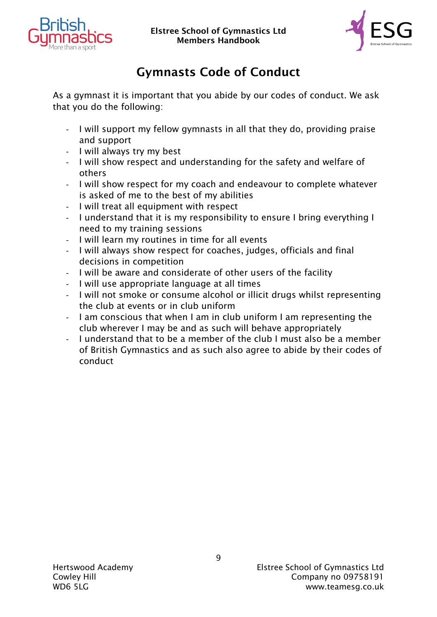



# Gymnasts Code of Conduct

As a gymnast it is important that you abide by our codes of conduct. We ask that you do the following:

- I will support my fellow gymnasts in all that they do, providing praise and support
- I will always try my best
- I will show respect and understanding for the safety and welfare of others
- I will show respect for my coach and endeavour to complete whatever is asked of me to the best of my abilities
- I will treat all equipment with respect
- I understand that it is my responsibility to ensure I bring everything I need to my training sessions
- I will learn my routines in time for all events
- I will always show respect for coaches, judges, officials and final decisions in competition
- I will be aware and considerate of other users of the facility
- I will use appropriate language at all times
- I will not smoke or consume alcohol or illicit drugs whilst representing the club at events or in club uniform
- I am conscious that when I am in club uniform I am representing the club wherever I may be and as such will behave appropriately
- I understand that to be a member of the club I must also be a member of British Gymnastics and as such also agree to abide by their codes of conduct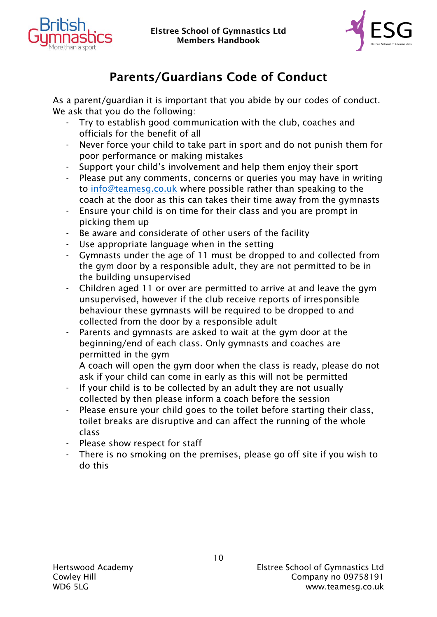



# Parents/Guardians Code of Conduct

As a parent/guardian it is important that you abide by our codes of conduct. We ask that you do the following:

- Try to establish good communication with the club, coaches and officials for the benefit of all
- Never force your child to take part in sport and do not punish them for poor performance or making mistakes
- Support your child's involvement and help them enjoy their sport
- Please put any comments, concerns or queries you may have in writing to [info@teamesg.co.uk](mailto:info@teamesg.co.uk) where possible rather than speaking to the coach at the door as this can takes their time away from the gymnasts
- Ensure your child is on time for their class and you are prompt in picking them up
- Be aware and considerate of other users of the facility
- Use appropriate language when in the setting
- Gymnasts under the age of 11 must be dropped to and collected from the gym door by a responsible adult, they are not permitted to be in the building unsupervised
- Children aged 11 or over are permitted to arrive at and leave the gym unsupervised, however if the club receive reports of irresponsible behaviour these gymnasts will be required to be dropped to and collected from the door by a responsible adult
- Parents and gymnasts are asked to wait at the gym door at the beginning/end of each class. Only gymnasts and coaches are permitted in the gym

A coach will open the gym door when the class is ready, please do not ask if your child can come in early as this will not be permitted

- If your child is to be collected by an adult they are not usually collected by then please inform a coach before the session
- Please ensure your child goes to the toilet before starting their class, toilet breaks are disruptive and can affect the running of the whole class
- Please show respect for staff
- There is no smoking on the premises, please go off site if you wish to do this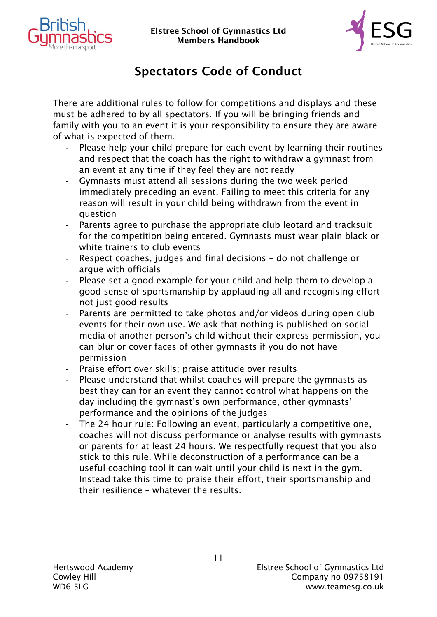



# Spectators Code of Conduct

There are additional rules to follow for competitions and displays and these must be adhered to by all spectators. If you will be bringing friends and family with you to an event it is your responsibility to ensure they are aware of what is expected of them.

- Please help your child prepare for each event by learning their routines and respect that the coach has the right to withdraw a gymnast from an event at any time if they feel they are not ready
- Gymnasts must attend all sessions during the two week period immediately preceding an event. Failing to meet this criteria for any reason will result in your child being withdrawn from the event in question
- Parents agree to purchase the appropriate club leotard and tracksuit for the competition being entered. Gymnasts must wear plain black or white trainers to club events
- Respect coaches, judges and final decisions do not challenge or argue with officials
- Please set a good example for your child and help them to develop a good sense of sportsmanship by applauding all and recognising effort not just good results
- Parents are permitted to take photos and/or videos during open club events for their own use. We ask that nothing is published on social media of another person's child without their express permission, you can blur or cover faces of other gymnasts if you do not have permission
- Praise effort over skills; praise attitude over results
- Please understand that whilst coaches will prepare the gymnasts as best they can for an event they cannot control what happens on the day including the gymnast's own performance, other gymnasts' performance and the opinions of the judges
- The 24 hour rule: Following an event, particularly a competitive one, coaches will not discuss performance or analyse results with gymnasts or parents for at least 24 hours. We respectfully request that you also stick to this rule. While deconstruction of a performance can be a useful coaching tool it can wait until your child is next in the gym. Instead take this time to praise their effort, their sportsmanship and their resilience – whatever the results.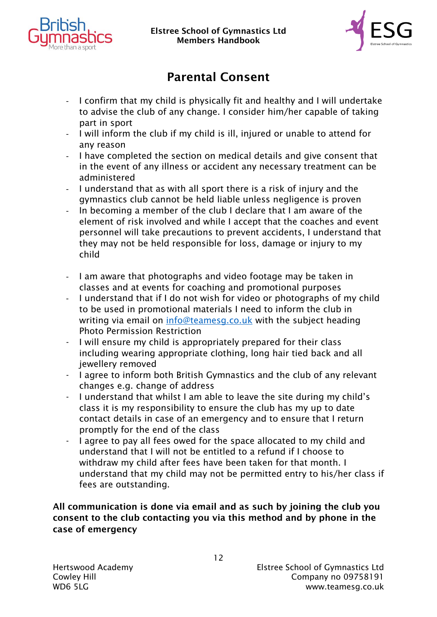



# Parental Consent

- I confirm that my child is physically fit and healthy and I will undertake to advise the club of any change. I consider him/her capable of taking part in sport
- I will inform the club if my child is ill, injured or unable to attend for any reason
- I have completed the section on medical details and give consent that in the event of any illness or accident any necessary treatment can be administered
- I understand that as with all sport there is a risk of injury and the gymnastics club cannot be held liable unless negligence is proven
- In becoming a member of the club I declare that I am aware of the element of risk involved and while I accept that the coaches and event personnel will take precautions to prevent accidents, I understand that they may not be held responsible for loss, damage or injury to my child
- I am aware that photographs and video footage may be taken in classes and at events for coaching and promotional purposes
- I understand that if I do not wish for video or photographs of my child to be used in promotional materials I need to inform the club in writing via email on [info@teamesg.co.uk](mailto:info@teamesg.co.uk) with the subject heading Photo Permission Restriction
- I will ensure my child is appropriately prepared for their class including wearing appropriate clothing, long hair tied back and all jewellery removed
- I agree to inform both British Gymnastics and the club of any relevant changes e.g. change of address
- I understand that whilst I am able to leave the site during my child's class it is my responsibility to ensure the club has my up to date contact details in case of an emergency and to ensure that I return promptly for the end of the class
- I agree to pay all fees owed for the space allocated to my child and understand that I will not be entitled to a refund if I choose to withdraw my child after fees have been taken for that month. I understand that my child may not be permitted entry to his/her class if fees are outstanding.

#### All communication is done via email and as such by joining the club you consent to the club contacting you via this method and by phone in the case of emergency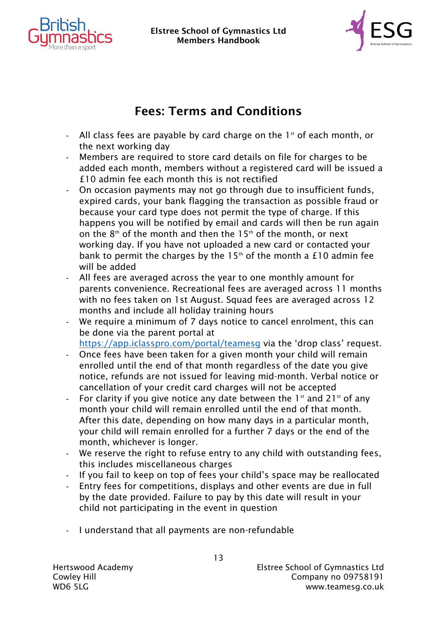



### Fees: Terms and Conditions

- All class fees are payable by card charge on the  $1<sup>st</sup>$  of each month, or the next working day
- Members are required to store card details on file for charges to be added each month, members without a registered card will be issued a £10 admin fee each month this is not rectified
- On occasion payments may not go through due to insufficient funds, expired cards, your bank flagging the transaction as possible fraud or because your card type does not permit the type of charge. If this happens you will be notified by email and cards will then be run again on the  $8<sup>th</sup>$  of the month and then the 15<sup>th</sup> of the month, or next working day. If you have not uploaded a new card or contacted your bank to permit the charges by the  $15<sup>th</sup>$  of the month a £10 admin fee will be added
- All fees are averaged across the year to one monthly amount for parents convenience. Recreational fees are averaged across 11 months with no fees taken on 1st August. Squad fees are averaged across 12 months and include all holiday training hours
- We require a minimum of 7 days notice to cancel enrolment, this can be done via the parent portal at

<https://app.iclasspro.com/portal/teamesg> via the 'drop class' request.

- Once fees have been taken for a given month your child will remain enrolled until the end of that month regardless of the date you give notice, refunds are not issued for leaving mid-month. Verbal notice or cancellation of your credit card charges will not be accepted
- For clarity if you give notice any date between the  $1<sup>st</sup>$  and  $21<sup>st</sup>$  of any month your child will remain enrolled until the end of that month. After this date, depending on how many days in a particular month, your child will remain enrolled for a further 7 days or the end of the month, whichever is longer.
- We reserve the right to refuse entry to any child with outstanding fees, this includes miscellaneous charges
- If you fail to keep on top of fees your child's space may be reallocated
- Entry fees for competitions, displays and other events are due in full by the date provided. Failure to pay by this date will result in your child not participating in the event in question
- I understand that all payments are non-refundable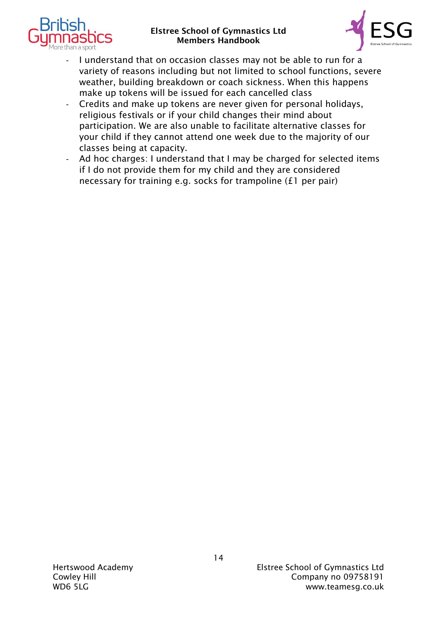



- I understand that on occasion classes may not be able to run for a variety of reasons including but not limited to school functions, severe weather, building breakdown or coach sickness. When this happens make up tokens will be issued for each cancelled class
- Credits and make up tokens are never given for personal holidays, religious festivals or if your child changes their mind about participation. We are also unable to facilitate alternative classes for your child if they cannot attend one week due to the majority of our classes being at capacity.
- Ad hoc charges: I understand that I may be charged for selected items if I do not provide them for my child and they are considered necessary for training e.g. socks for trampoline (£1 per pair)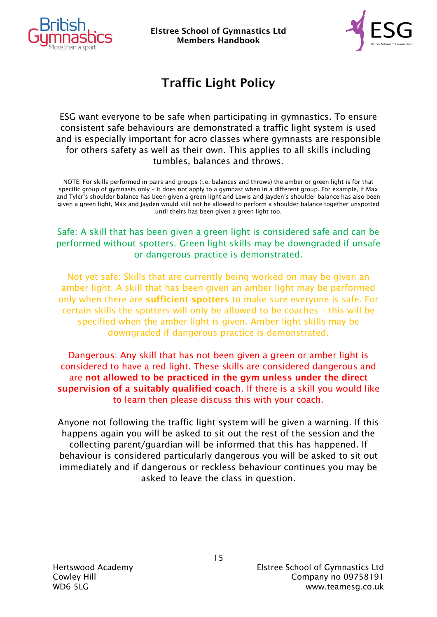



# Traffic Light Policy

ESG want everyone to be safe when participating in gymnastics. To ensure consistent safe behaviours are demonstrated a traffic light system is used and is especially important for acro classes where gymnasts are responsible for others safety as well as their own. This applies to all skills including tumbles, balances and throws.

NOTE: For skills performed in pairs and groups (i.e. balances and throws) the amber or green light is for that specific group of gymnasts only – it does not apply to a gymnast when in a different group. For example, if Max and Tyler's shoulder balance has been given a green light and Lewis and Jayden's shoulder balance has also been given a green light, Max and Jayden would still not be allowed to perform a shoulder balance together unspotted until theirs has been given a green light too.

#### Safe: A skill that has been given a green light is considered safe and can be performed without spotters. Green light skills may be downgraded if unsafe or dangerous practice is demonstrated.

Not yet safe: Skills that are currently being worked on may be given an amber light. A skill that has been given an amber light may be performed only when there are sufficient spotters to make sure everyone is safe. For certain skills the spotters will only be allowed to be coaches – this will be specified when the amber light is given. Amber light skills may be downgraded if dangerous practice is demonstrated.

Dangerous: Any skill that has not been given a green or amber light is considered to have a red light. These skills are considered dangerous and are not allowed to be practiced in the gym unless under the direct supervision of a suitably qualified coach. If there is a skill you would like to learn then please discuss this with your coach.

Anyone not following the traffic light system will be given a warning. If this happens again you will be asked to sit out the rest of the session and the collecting parent/guardian will be informed that this has happened. If behaviour is considered particularly dangerous you will be asked to sit out immediately and if dangerous or reckless behaviour continues you may be asked to leave the class in question.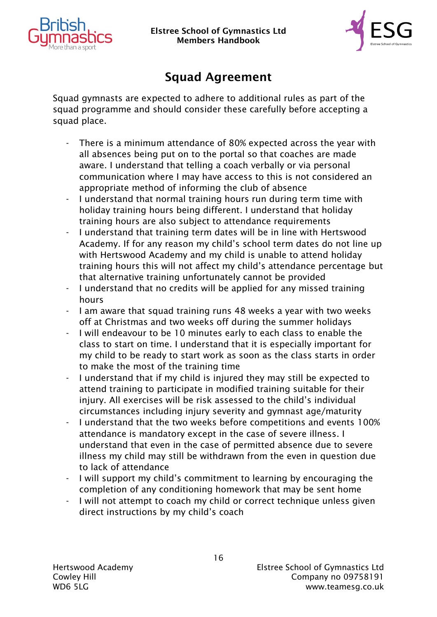



## Squad Agreement

Squad gymnasts are expected to adhere to additional rules as part of the squad programme and should consider these carefully before accepting a squad place.

- There is a minimum attendance of 80% expected across the year with all absences being put on to the portal so that coaches are made aware. I understand that telling a coach verbally or via personal communication where I may have access to this is not considered an appropriate method of informing the club of absence
- I understand that normal training hours run during term time with holiday training hours being different. I understand that holiday training hours are also subject to attendance requirements
- I understand that training term dates will be in line with Hertswood Academy. If for any reason my child's school term dates do not line up with Hertswood Academy and my child is unable to attend holiday training hours this will not affect my child's attendance percentage but that alternative training unfortunately cannot be provided
- I understand that no credits will be applied for any missed training hours
- I am aware that squad training runs 48 weeks a year with two weeks off at Christmas and two weeks off during the summer holidays
- I will endeavour to be 10 minutes early to each class to enable the class to start on time. I understand that it is especially important for my child to be ready to start work as soon as the class starts in order to make the most of the training time
- I understand that if my child is injured they may still be expected to attend training to participate in modified training suitable for their injury. All exercises will be risk assessed to the child's individual circumstances including injury severity and gymnast age/maturity
- I understand that the two weeks before competitions and events 100% attendance is mandatory except in the case of severe illness. I understand that even in the case of permitted absence due to severe illness my child may still be withdrawn from the even in question due to lack of attendance
- I will support my child's commitment to learning by encouraging the completion of any conditioning homework that may be sent home
- I will not attempt to coach my child or correct technique unless given direct instructions by my child's coach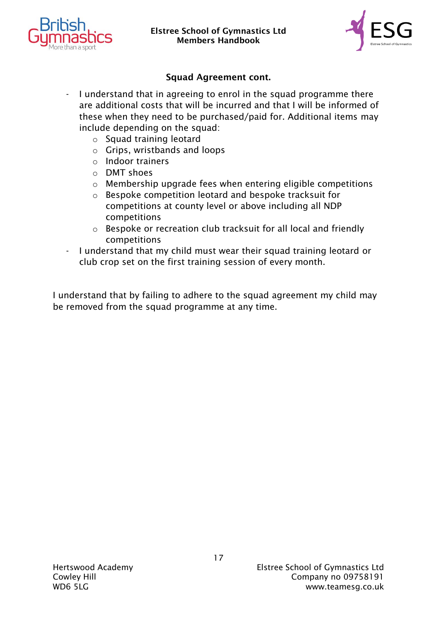



#### Squad Agreement cont.

- I understand that in agreeing to enrol in the squad programme there are additional costs that will be incurred and that I will be informed of these when they need to be purchased/paid for. Additional items may include depending on the squad:
	- o Squad training leotard
	- o Grips, wristbands and loops
	- o Indoor trainers
	- o DMT shoes
	- o Membership upgrade fees when entering eligible competitions
	- o Bespoke competition leotard and bespoke tracksuit for competitions at county level or above including all NDP competitions
	- o Bespoke or recreation club tracksuit for all local and friendly competitions
- I understand that my child must wear their squad training leotard or club crop set on the first training session of every month.

I understand that by failing to adhere to the squad agreement my child may be removed from the squad programme at any time.